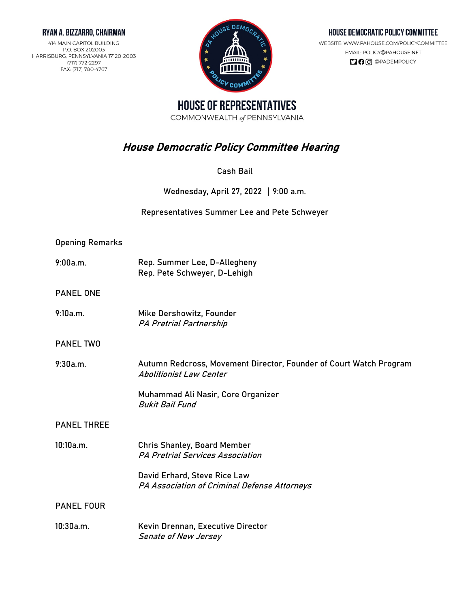### RYAN A. BIZZARRO, CHAIRMAN

414 MAIN CAPITOL BUILDING P.O. BOX 202003 HARRISBURG, PENNSYLVANIA 17120-2003 (717) 772-2297 FAX: (717) 780-4767



## HOUSE DEMOCRATIC POLICY COMMITTEE

WEBSITE: WWW.PAHOUSE.COM/POLICYCOMMITTEE EMAIL: POLICY@PAHOUSE.NET  $\Box$   $\Theta$   $\odot$   $\odot$   $\Theta$   $P$ ADEMPOLICY

**HOUSE OF REPRESENTATIVES** COMMONWEALTH of PENNSYLVANIA

# House Democratic Policy Committee Hearing

Cash Bail

Wednesday, April 27, 2022  $\mid$  9:00 a.m.

Representatives Summer Lee and Pete Schweyer

# Opening Remarks

| 9:00a.m. | Rep. Summer Lee, D-Allegheny |
|----------|------------------------------|
|          | Rep. Pete Schweyer, D-Lehigh |

PANEL ONE

9:10a.m. Mike Dershowitz, Founder PA Pretrial Partnership

PANEL TWO

9:30a.m. Autumn Redcross, Movement Director, Founder of Court Watch Program Abolitionist Law Center

> Muhammad Ali Nasir, Core Organizer Bukit Bail Fund

### PANEL THREE

10:10a.m. Chris Shanley, Board Member PA Pretrial Services Association

> David Erhard, Steve Rice Law PA Association of Criminal Defense Attorneys

PANEL FOUR

10:30a.m. Kevin Drennan, Executive Director Senate of New Jersey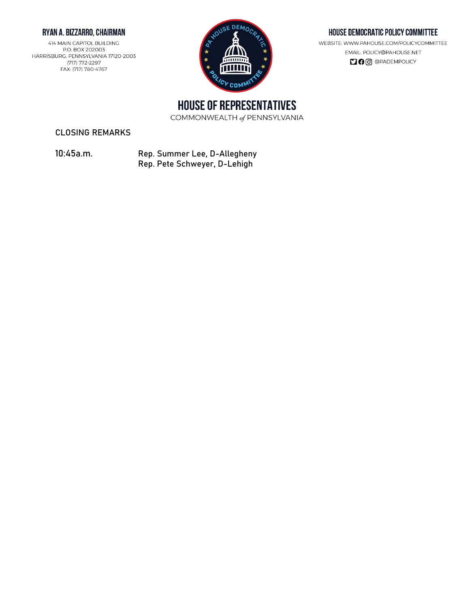## RYAN A. BIZZARRO, CHAIRMAN

414 MAIN CAPITOL BUILDING P.O. BOX 202003 HARRISBURG, PENNSYLVANIA 17120-2003 (717) 772-2297 FAX: (717) 780-4767



#### HOUSE DEMOCRATIC POLICY COMMITTEE

WEBSITE: WWW.PAHOUSE.COM/POLICYCOMMITTEE EMAIL: POLICY@PAHOUSE.NET **DO** @PADEMPOLICY

**HOUSE OF REPRESENTATIVES** 

COMMONWEALTH of PENNSYLVANIA

CLOSING REMARKS

10:45a.m. Rep. Summer Lee, D-Allegheny Rep. Pete Schweyer, D-Lehigh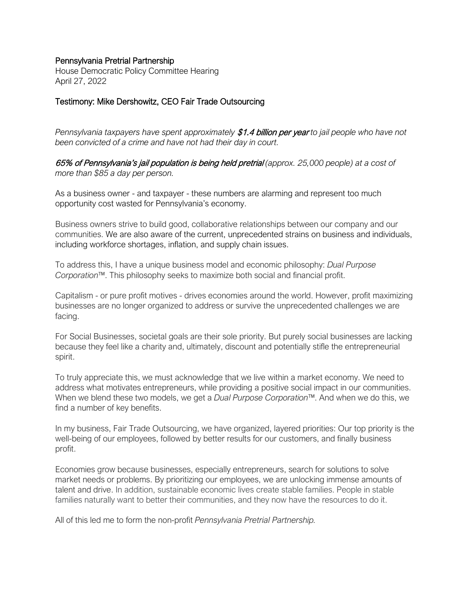## Pennsylvania Pretrial Partnership

House Democratic Policy Committee Hearing April 27, 2022

## Testimony: Mike Dershowitz, CEO Fair Trade Outsourcing

*Pennsylvania taxpayers have spent approximately* \$1.4 billion per year *to jail people who have not been convicted of a crime and have not had their day in court.*

65% of Pennsylvania's jail population is being held pretrial *(approx. 25,000 people) at a cost of more than \$85 a day per person.*

As a business owner - and taxpayer - these numbers are alarming and represent too much opportunity cost wasted for Pennsylvania's economy.

Business owners strive to build good, collaborative relationships between our company and our communities. We are also aware of the current, unprecedented strains on business and individuals, including workforce shortages, inflation, and supply chain issues.

To address this, I have a unique business model and economic philosophy: *Dual Purpose Corporation™*. This philosophy seeks to maximize both social and financial profit.

Capitalism - or pure profit motives - drives economies around the world. However, profit maximizing businesses are no longer organized to address or survive the unprecedented challenges we are facing.

For Social Businesses, societal goals are their sole priority. But purely social businesses are lacking because they feel like a charity and, ultimately, discount and potentially stifle the entrepreneurial spirit.

To truly appreciate this, we must acknowledge that we live within a market economy. We need to address what motivates entrepreneurs, while providing a positive social impact in our communities. When we blend these two models, we get a *Dual Purpose Corporation™*. And when we do this, we find a number of key benefits.

In my business, Fair Trade Outsourcing, we have organized, layered priorities: Our top priority is the well-being of our employees, followed by better results for our customers, and finally business profit.

Economies grow because businesses, especially entrepreneurs, search for solutions to solve market needs or problems. By prioritizing our employees, we are unlocking immense amounts of talent and drive. In addition, sustainable economic lives create stable families. People in stable families naturally want to better their communities, and they now have the resources to do it.

All of this led me to form the non-profit *Pennsylvania Pretrial Partnership.*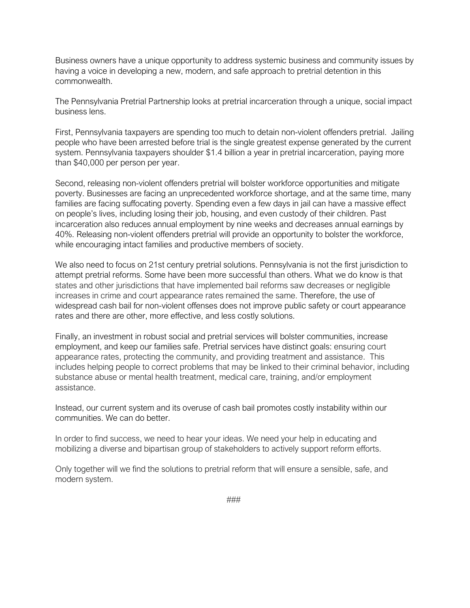Business owners have a unique opportunity to address systemic business and community issues by having a voice in developing a new, modern, and safe approach to pretrial detention in this commonwealth.

The Pennsylvania Pretrial Partnership looks at pretrial incarceration through a unique, social impact business lens.

First, Pennsylvania taxpayers are spending too much to detain non-violent offenders pretrial. Jailing people who have been arrested before trial is the single greatest expense generated by the current system. Pennsylvania taxpayers shoulder \$1.4 billion a year in pretrial incarceration, paying more than \$40,000 per person per year.

Second, releasing non-violent offenders pretrial will bolster workforce opportunities and mitigate poverty. Businesses are facing an unprecedented workforce shortage, and at the same time, many families are facing suffocating poverty. Spending even a few days in jail can have a massive effect on people's lives, including losing their job, housing, and even custody of their children. Past incarceration also reduces annual employment by nine weeks and decreases annual earnings by 40%. Releasing non-violent offenders pretrial will provide an opportunity to bolster the workforce, while encouraging intact families and productive members of society.

We also need to focus on 21st century pretrial solutions. Pennsylvania is not the first jurisdiction to attempt pretrial reforms. Some have been more successful than others. What we do know is that states and other jurisdictions that have implemented bail reforms saw decreases or negligible increases in crime and court appearance rates remained the same. Therefore, the use of widespread cash bail for non-violent offenses does not improve public safety or court appearance rates and there are other, more effective, and less costly solutions.

Finally, an investment in robust social and pretrial services will bolster communities, increase employment, and keep our families safe. Pretrial services have distinct goals: ensuring court appearance rates, protecting the community, and providing treatment and assistance. This includes helping people to correct problems that may be linked to their criminal behavior, including substance abuse or mental health treatment, medical care, training, and/or employment assistance.

Instead, our current system and its overuse of cash bail promotes costly instability within our communities. We can do better.

In order to find success, we need to hear your ideas. We need your help in educating and mobilizing a diverse and bipartisan group of stakeholders to actively support reform efforts.

Only together will we find the solutions to pretrial reform that will ensure a sensible, safe, and modern system.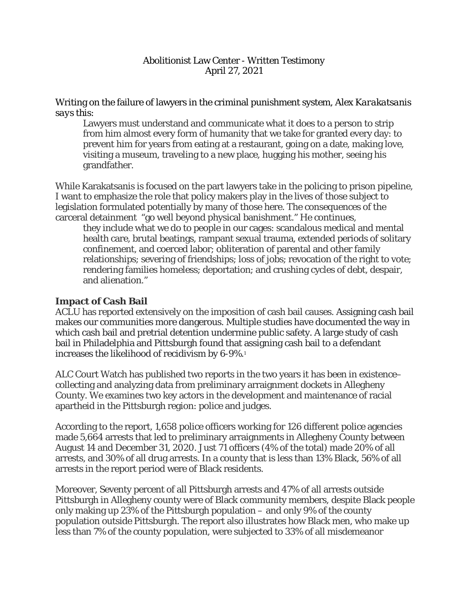Writing on the failure of lawyers in the criminal punishment system, Alex *Karakatsanis says this:*

Lawyers must understand and communicate what it does to a person to strip from him almost every form of humanity that we take for granted every day: to prevent him for years from eating at a restaurant, going on a date, making love, visiting a museum, traveling to a new place, hugging his mother, seeing his grandfather.

While Karakatsanis is focused on the part lawyers take in the policing to prison pipeline, I want to emphasize the role that policy makers play in the lives of those subject to legislation formulated potentially by many of those here. The consequences of the carceral detainment "go well beyond physical banishment." He continues,

they include what we do to people in our cages: scandalous medical and mental health care, brutal beatings, rampant sexual trauma, extended periods of solitary confinement, and coerced labor; obliteration of parental and other family relationships; severing of friendships; loss of jobs; revocation of the right to vote; rendering families homeless; deportation; and crushing cycles of debt, despair, and alienation."

# **Impact of Cash Bail**

ACLU has reported extensively on the imposition of cash bail causes. Assigning cash bail makes our communities more dangerous. Multiple studies have documented the way in which cash bail and pretrial detention undermine public safety. A large study of cash bail in Philadelphia and Pittsburgh found that assigning cash bail to a defendant increases the likelihood of recidivism by 6-9%.1

ALC Court Watch has published two reports in the two years it has been in existence– collecting and analyzing data from preliminary arraignment dockets in Allegheny County. We examines two key actors in the development and maintenance of racial apartheid in the Pittsburgh region: police and judges.

According to the report, 1,658 police officers working for 126 different police agencies made 5,664 arrests that led to preliminary arraignments in Allegheny County between August 14 and December 31, 2020. Just 71 officers (4% of the total) made 20% of all arrests, and 30% of all drug arrests. In a county that is less than 13% Black, 56% of all arrests in the report period were of Black residents.

Moreover, Seventy percent of all Pittsburgh arrests and 47% of all arrests outside Pittsburgh in Allegheny county were of Black community members, despite Black people only making up 23% of the Pittsburgh population – and only 9% of the county population outside Pittsburgh. The report also illustrates how Black men, who make up less than 7% of the county population, were subjected to 33% of all misdemeanor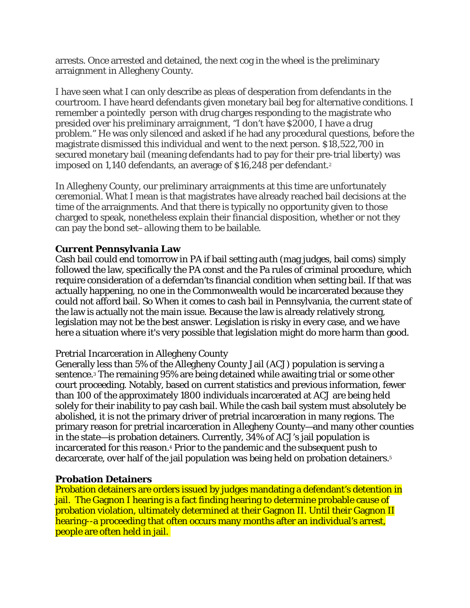arrests. Once arrested and detained, the next cog in the wheel is the preliminary arraignment in Allegheny County.

I have seen what I can only describe as pleas of desperation from defendants in the courtroom. I have heard defendants given monetary bail beg for alternative conditions. I remember a pointedly person with drug charges responding to the magistrate who presided over his preliminary arraignment, "I don't have \$2000, I have a drug problem." He was only silenced and asked if he had any procedural questions, before the magistrate dismissed this individual and went to the next person. \$18,522,700 in secured monetary bail (meaning defendants had to pay for their pre-trial liberty) was imposed on 1,140 defendants, an average of \$16,248 per defendant.<sup>2</sup>

In Allegheny County, our preliminary arraignments at this time are unfortunately ceremonial. What I mean is that magistrates have already reached bail decisions at the time of the arraignments. And that there is typically no opportunity given to those charged to speak, nonetheless explain their financial disposition, whether or not they can pay the bond set–allowing them to be bailable.

# **Current Pennsylvania Law**

Cash bail could end tomorrow in PA if bail setting auth (mag judges, bail coms) simply followed the law, specifically the PA const and the Pa rules of criminal procedure, which require consideration of a deferndan'ts financial condition when setting bail. If that was actually happening, no one in the Commonwealth would be incarcerated because they could not afford bail. So When it comes to cash bail in Pennsylvania, the current state of the law is actually not the main issue. Because the law is already relatively strong, legislation may not be the best answer. Legislation is risky in every case, and we have here a situation where it's very possible that legislation might do more harm than good.

# Pretrial Incarceration in Allegheny County

Generally less than 5% of the Allegheny County Jail (ACJ) population is serving a sentence.3 The remaining 95% are being detained while awaiting trial or some other court proceeding. Notably, based on current statistics and previous information, fewer than 100 of the approximately 1800 individuals incarcerated at ACJ are being held solely for their inability to pay cash bail. While the cash bail system must absolutely be abolished, it is not the primary driver of pretrial incarceration in many regions. The primary reason for pretrial incarceration in Allegheny County—and many other counties in the state—is probation detainers. Currently, 34% of ACJ's jail population is incarcerated for this reason.4 Prior to the pandemic and the subsequent push to decarcerate, over half of the jail population was being held on probation detainers.5

# **Probation Detainers**

Probation detainers are orders issued by judges mandating a defendant's detention in jail. The Gagnon I hearing is a fact finding hearing to determine probable cause of probation violation, ultimately determined at their Gagnon II. Until their Gagnon II hearing--a proceeding that often occurs many months after an individual's arrest, people are often held in jail.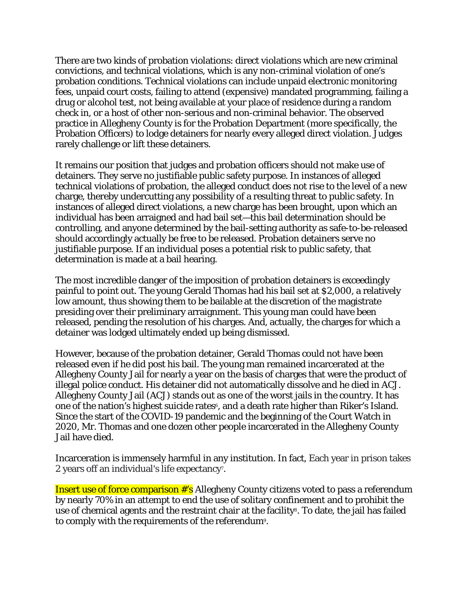There are two kinds of probation violations: direct violations which are new criminal convictions, and technical violations, which is any non-criminal violation of one's probation conditions. Technical violations can include unpaid electronic monitoring fees, unpaid court costs, failing to attend (expensive) mandated programming, failing a drug or alcohol test, not being available at your place of residence during a random check in, or a host of other non-serious and non-criminal behavior. The observed practice in Allegheny County is for the Probation Department (more specifically, the Probation Officers) to lodge detainers for nearly every alleged direct violation. Judges rarely challenge or lift these detainers.

It remains our position that judges and probation officers should not make use of detainers. They serve no justifiable public safety purpose. In instances of alleged technical violations of probation, the alleged conduct does not rise to the level of a new charge, thereby undercutting any possibility of a resulting threat to public safety. In instances of alleged direct violations, a new charge has been brought, upon which an individual has been arraigned and had bail set—this bail determination should be controlling, and anyone determined by the bail-setting authority as safe-to-be-released should accordingly actually be free to be released. Probation detainers serve no justifiable purpose. If an individual poses a potential risk to public safety, that determination is made at a bail hearing.

The most incredible danger of the imposition of probation detainers is exceedingly painful to point out. The young Gerald Thomas had his bail set at \$2,000, a relatively low amount, thus showing them to be bailable at the discretion of the magistrate presiding over their preliminary arraignment. This young man could have been released, pending the resolution of his charges. And, actually, the charges for which a detainer was lodged ultimately ended up being dismissed.

However, because of the probation detainer, Gerald Thomas could not have been released even if he did post his bail. The young man remained incarcerated at the Allegheny County Jail for nearly a year on the basis of charges that were the product of illegal police conduct. His detainer did not automatically dissolve and he died in ACJ. Allegheny County Jail (ACJ) stands out as one of the worst jails in the country. It has one of the nation's highest suicide rates<sup>6</sup>, and a death rate higher than Riker's Island. Since the start of the COVID-19 pandemic and the beginning of the Court Watch in 2020, Mr. Thomas and one dozen other people incarcerated in the Allegheny County Jail have died.

Incarceration is immensely harmful in any institution. In fact, Each year in prison takes 2 years off an individual's life expectancy7.

Insert use of force comparison #'s Allegheny County citizens voted to pass a referendum by nearly 70% in an attempt to end the use of solitary confinement and to prohibit the use of chemical agents and the restraint chair at the facility<sup>8</sup>. To date, the jail has failed to comply with the requirements of the referendum9.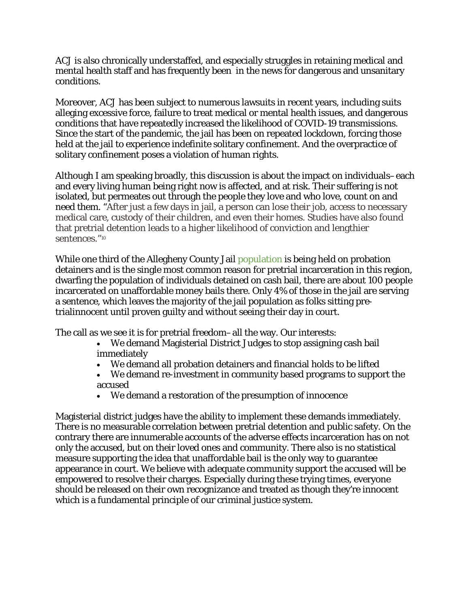ACJ is also chronically understaffed, and especially struggles in retaining medical and mental health staff and has frequently been in the news for dangerous and unsanitary conditions.

Moreover, ACJ has been subject to numerous lawsuits in recent years, including suits alleging excessive force, failure to treat medical or mental health issues, and dangerous conditions that have repeatedly increased the likelihood of COVID-19 transmissions. Since the start of the pandemic, the jail has been on repeated lockdown, forcing those held at the jail to experience indefinite solitary confinement. And the overpractice of solitary confinement poses a violation of human rights.

Although I am speaking broadly, this discussion is about the impact on individuals–each and every living human being right now is affected, and at risk. Their suffering is not isolated, but permeates out through the people they love and who love, count on and need them. "After just a few days in jail, a person can lose their job, access to necessary medical care, custody of their children, and even their homes. Studies have also found that pretrial detention leads to a higher likelihood of conviction and lengthier sentences."<sup>10</sup>

While one third of the Allegheny County Jail population is being held on probation detainers and is the single most common reason for pretrial incarceration in this region, dwarfing the population of individuals detained on cash bail, there are about 100 people incarcerated on unaffordable money bails there. Only 4% of those in the jail are serving a sentence, which leaves the majority of the jail population as folks sitting pretrialinnocent until proven guilty and without seeing their day in court.

The call as we see it is for pretrial freedom–all the way. Our interests:

- We demand Magisterial District Judges to stop assigning cash bail immediately
- We demand all probation detainers and financial holds to be lifted
- We demand re-investment in community based programs to support the accused
- We demand a restoration of the presumption of innocence

Magisterial district judges have the ability to implement these demands immediately. There is no measurable correlation between pretrial detention and public safety. On the contrary there are innumerable accounts of the adverse effects incarceration has on not only the accused, but on their loved ones and community. There also is no statistical measure supporting the idea that unaffordable bail is the only way to guarantee appearance in court. We believe with adequate community support the accused will be empowered to resolve their charges. Especially during these trying times, everyone should be released on their own recognizance and treated as though they're innocent which is a fundamental principle of our criminal justice system.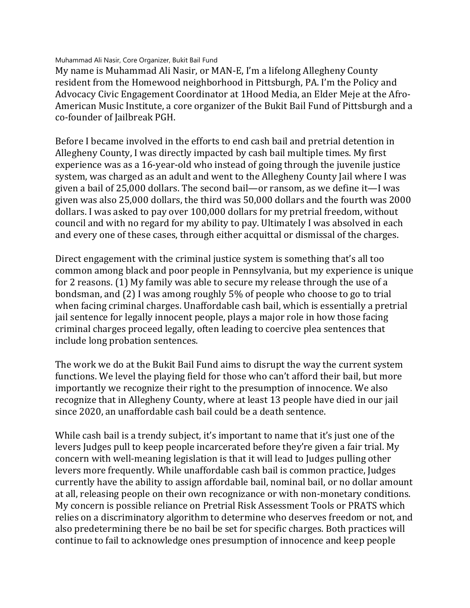Muhammad Ali Nasir, Core Organizer, Bukit Bail Fund

My name is Muhammad Ali Nasir, or MAN-E, I'm a lifelong Allegheny County resident from the Homewood neighborhood in Pittsburgh, PA. I'm the Policy and Advocacy Civic Engagement Coordinator at 1Hood Media, an Elder Meje at the Afro-American Music Institute, a core organizer of the Bukit Bail Fund of Pittsburgh and a co-founder of Jailbreak PGH.

Before I became involved in the efforts to end cash bail and pretrial detention in Allegheny County, I was directly impacted by cash bail multiple times. My first experience was as a 16-year-old who instead of going through the juvenile justice system, was charged as an adult and went to the Allegheny County Jail where I was given a bail of 25,000 dollars. The second bail—or ransom, as we define it—I was given was also 25,000 dollars, the third was 50,000 dollars and the fourth was 2000 dollars. I was asked to pay over 100,000 dollars for my pretrial freedom, without council and with no regard for my ability to pay. Ultimately I was absolved in each and every one of these cases, through either acquittal or dismissal of the charges.

Direct engagement with the criminal justice system is something that's all too common among black and poor people in Pennsylvania, but my experience is unique for 2 reasons. (1) My family was able to secure my release through the use of a bondsman, and (2) I was among roughly 5% of people who choose to go to trial when facing criminal charges. Unaffordable cash bail, which is essentially a pretrial jail sentence for legally innocent people, plays a major role in how those facing criminal charges proceed legally, often leading to coercive plea sentences that include long probation sentences.

The work we do at the Bukit Bail Fund aims to disrupt the way the current system functions. We level the playing field for those who can't afford their bail, but more importantly we recognize their right to the presumption of innocence. We also recognize that in Allegheny County, where at least 13 people have died in our jail since 2020, an unaffordable cash bail could be a death sentence.

While cash bail is a trendy subject, it's important to name that it's just one of the levers Judges pull to keep people incarcerated before they're given a fair trial. My concern with well-meaning legislation is that it will lead to Judges pulling other levers more frequently. While unaffordable cash bail is common practice, Judges currently have the ability to assign affordable bail, nominal bail, or no dollar amount at all, releasing people on their own recognizance or with non-monetary conditions. My concern is possible reliance on Pretrial Risk Assessment Tools or PRATS which relies on a discriminatory algorithm to determine who deserves freedom or not, and also predetermining there be no bail be set for specific charges. Both practices will continue to fail to acknowledge ones presumption of innocence and keep people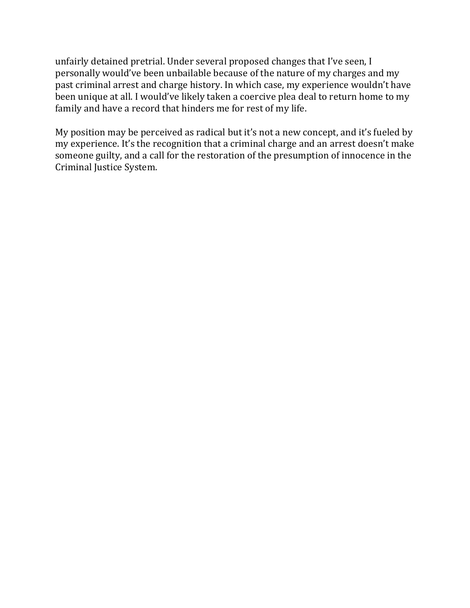unfairly detained pretrial. Under several proposed changes that I've seen, I personally would've been unbailable because of the nature of my charges and my past criminal arrest and charge history. In which case, my experience wouldn't have been unique at all. I would've likely taken a coercive plea deal to return home to my family and have a record that hinders me for rest of my life.

My position may be perceived as radical but it's not a new concept, and it's fueled by my experience. It's the recognition that a criminal charge and an arrest doesn't make someone guilty, and a call for the restoration of the presumption of innocence in the Criminal Justice System.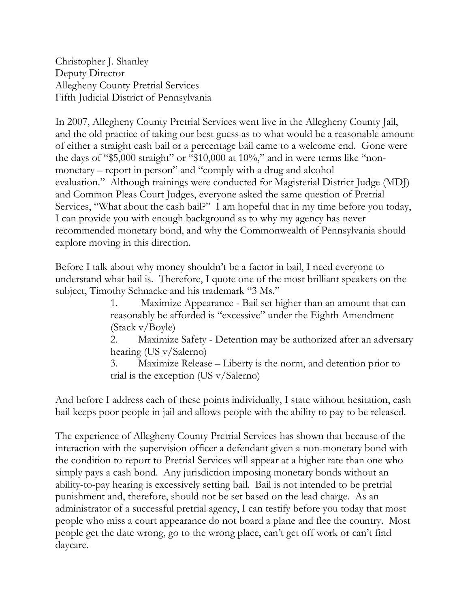Christopher J. Shanley Deputy Director Allegheny County Pretrial Services Fifth Judicial District of Pennsylvania

In 2007, Allegheny County Pretrial Services went live in the Allegheny County Jail, and the old practice of taking our best guess as to what would be a reasonable amount of either a straight cash bail or a percentage bail came to a welcome end. Gone were the days of "\$5,000 straight" or "\$10,000 at 10%," and in were terms like "nonmonetary – report in person" and "comply with a drug and alcohol evaluation." Although trainings were conducted for Magisterial District Judge (MDJ) and Common Pleas Court Judges, everyone asked the same question of Pretrial Services, "What about the cash bail?" I am hopeful that in my time before you today, I can provide you with enough background as to why my agency has never recommended monetary bond, and why the Commonwealth of Pennsylvania should explore moving in this direction.

Before I talk about why money shouldn't be a factor in bail, I need everyone to understand what bail is. Therefore, I quote one of the most brilliant speakers on the subject, Timothy Schnacke and his trademark "3 Ms."

> 1. Maximize Appearance - Bail set higher than an amount that can reasonably be afforded is "excessive" under the Eighth Amendment (Stack v/Boyle)

2. Maximize Safety - Detention may be authorized after an adversary hearing (US v/Salerno)

3. Maximize Release – Liberty is the norm, and detention prior to trial is the exception (US v/Salerno)

And before I address each of these points individually, I state without hesitation, cash bail keeps poor people in jail and allows people with the ability to pay to be released.

The experience of Allegheny County Pretrial Services has shown that because of the interaction with the supervision officer a defendant given a non-monetary bond with the condition to report to Pretrial Services will appear at a higher rate than one who simply pays a cash bond. Any jurisdiction imposing monetary bonds without an ability-to-pay hearing is excessively setting bail. Bail is not intended to be pretrial punishment and, therefore, should not be set based on the lead charge. As an administrator of a successful pretrial agency, I can testify before you today that most people who miss a court appearance do not board a plane and flee the country. Most people get the date wrong, go to the wrong place, can't get off work or can't find daycare.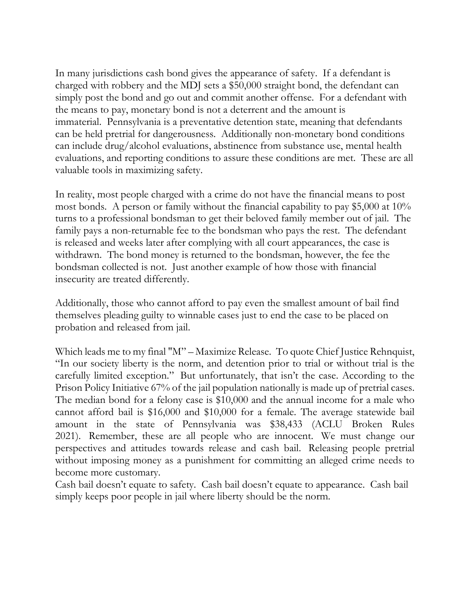In many jurisdictions cash bond gives the appearance of safety. If a defendant is charged with robbery and the MDJ sets a \$50,000 straight bond, the defendant can simply post the bond and go out and commit another offense. For a defendant with the means to pay, monetary bond is not a deterrent and the amount is immaterial. Pennsylvania is a preventative detention state, meaning that defendants can be held pretrial for dangerousness. Additionally non-monetary bond conditions can include drug/alcohol evaluations, abstinence from substance use, mental health evaluations, and reporting conditions to assure these conditions are met. These are all valuable tools in maximizing safety.

In reality, most people charged with a crime do not have the financial means to post most bonds. A person or family without the financial capability to pay \$5,000 at 10% turns to a professional bondsman to get their beloved family member out of jail. The family pays a non-returnable fee to the bondsman who pays the rest. The defendant is released and weeks later after complying with all court appearances, the case is withdrawn. The bond money is returned to the bondsman, however, the fee the bondsman collected is not. Just another example of how those with financial insecurity are treated differently.

Additionally, those who cannot afford to pay even the smallest amount of bail find themselves pleading guilty to winnable cases just to end the case to be placed on probation and released from jail.

Which leads me to my final "M" – Maximize Release. To quote Chief Justice Rehnquist, "In our society liberty is the norm, and detention prior to trial or without trial is the carefully limited exception." But unfortunately, that isn't the case. According to the Prison Policy Initiative 67% of the jail population nationally is made up of pretrial cases. The median bond for a felony case is \$10,000 and the annual income for a male who cannot afford bail is \$16,000 and \$10,000 for a female. The average statewide bail amount in the state of Pennsylvania was \$38,433 (ACLU Broken Rules 2021). Remember, these are all people who are innocent. We must change our perspectives and attitudes towards release and cash bail. Releasing people pretrial without imposing money as a punishment for committing an alleged crime needs to become more customary.

Cash bail doesn't equate to safety. Cash bail doesn't equate to appearance. Cash bail simply keeps poor people in jail where liberty should be the norm.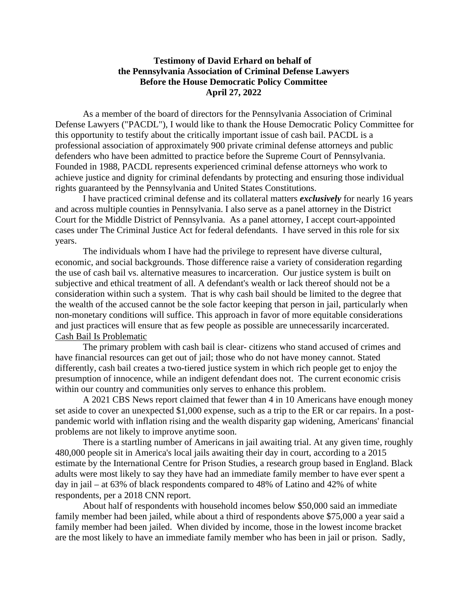# **Testimony of David Erhard on behalf of the Pennsylvania Association of Criminal Defense Lawyers Before the House Democratic Policy Committee April 27, 2022**

As a member of the board of directors for the Pennsylvania Association of Criminal Defense Lawyers ("PACDL"), I would like to thank the House Democratic Policy Committee for this opportunity to testify about the critically important issue of cash bail. PACDL is a professional association of approximately 900 private criminal defense attorneys and public defenders who have been admitted to practice before the Supreme Court of Pennsylvania. Founded in 1988, PACDL represents experienced criminal defense attorneys who work to achieve justice and dignity for criminal defendants by protecting and ensuring those individual rights guaranteed by the Pennsylvania and United States Constitutions.

I have practiced criminal defense and its collateral matters *exclusively* for nearly 16 years and across multiple counties in Pennsylvania. I also serve as a panel attorney in the District Court for the Middle District of Pennsylvania. As a panel attorney, I accept court-appointed cases under The Criminal Justice Act for federal defendants. I have served in this role for six years.

The individuals whom I have had the privilege to represent have diverse cultural, economic, and social backgrounds. Those difference raise a variety of consideration regarding the use of cash bail vs. alternative measures to incarceration. Our justice system is built on subjective and ethical treatment of all. A defendant's wealth or lack thereof should not be a consideration within such a system. That is why cash bail should be limited to the degree that the wealth of the accused cannot be the sole factor keeping that person in jail, particularly when non-monetary conditions will suffice. This approach in favor of more equitable considerations and just practices will ensure that as few people as possible are unnecessarily incarcerated. Cash Bail Is Problematic

The primary problem with cash bail is clear- citizens who stand accused of crimes and have financial resources can get out of jail; those who do not have money cannot. Stated differently, cash bail creates a two-tiered justice system in which rich people get to enjoy the presumption of innocence, while an indigent defendant does not. The current economic crisis within our country and communities only serves to enhance this problem.

A 2021 CBS News report claimed that fewer than 4 in 10 Americans have enough money set aside to cover an unexpected \$1,000 expense, such as a trip to the ER or car repairs. In a postpandemic world with inflation rising and the wealth disparity gap widening, Americans' financial problems are not likely to improve anytime soon.

There is a startling number of Americans in jail awaiting trial. At any given time, roughly 480,000 people sit in America's local jails awaiting their day in court, according to a 2015 estimate by the International Centre for Prison Studies, a research group based in England. Black adults were most likely to say they have had an immediate family member to have ever spent a day in jail – at 63% of black respondents compared to 48% of Latino and 42% of white respondents, per a 2018 CNN report.

About half of respondents with household incomes below \$50,000 said an immediate family member had been jailed, while about a third of respondents above \$75,000 a year said a family member had been jailed. When divided by income, those in the lowest income bracket are the most likely to have an immediate family member who has been in jail or prison. Sadly,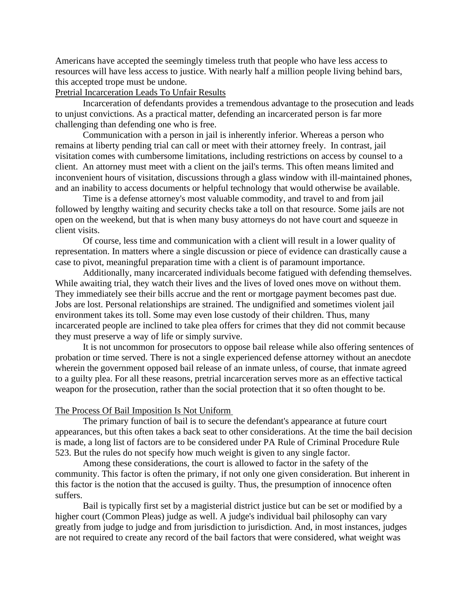Americans have accepted the seemingly timeless truth that people who have less access to resources will have less access to justice. With nearly half a million people living behind bars, this accepted trope must be undone.

Pretrial Incarceration Leads To Unfair Results

Incarceration of defendants provides a tremendous advantage to the prosecution and leads to unjust convictions. As a practical matter, defending an incarcerated person is far more challenging than defending one who is free.

Communication with a person in jail is inherently inferior. Whereas a person who remains at liberty pending trial can call or meet with their attorney freely. In contrast, jail visitation comes with cumbersome limitations, including restrictions on access by counsel to a client. An attorney must meet with a client on the jail's terms. This often means limited and inconvenient hours of visitation, discussions through a glass window with ill-maintained phones, and an inability to access documents or helpful technology that would otherwise be available.

Time is a defense attorney's most valuable commodity, and travel to and from jail followed by lengthy waiting and security checks take a toll on that resource. Some jails are not open on the weekend, but that is when many busy attorneys do not have court and squeeze in client visits.

Of course, less time and communication with a client will result in a lower quality of representation. In matters where a single discussion or piece of evidence can drastically cause a case to pivot, meaningful preparation time with a client is of paramount importance.

Additionally, many incarcerated individuals become fatigued with defending themselves. While awaiting trial, they watch their lives and the lives of loved ones move on without them. They immediately see their bills accrue and the rent or mortgage payment becomes past due. Jobs are lost. Personal relationships are strained. The undignified and sometimes violent jail environment takes its toll. Some may even lose custody of their children. Thus, many incarcerated people are inclined to take plea offers for crimes that they did not commit because they must preserve a way of life or simply survive.

It is not uncommon for prosecutors to oppose bail release while also offering sentences of probation or time served. There is not a single experienced defense attorney without an anecdote wherein the government opposed bail release of an inmate unless, of course, that inmate agreed to a guilty plea. For all these reasons, pretrial incarceration serves more as an effective tactical weapon for the prosecution, rather than the social protection that it so often thought to be.

#### The Process Of Bail Imposition Is Not Uniform

The primary function of bail is to secure the defendant's appearance at future court appearances, but this often takes a back seat to other considerations. At the time the bail decision is made, a long list of factors are to be considered under PA Rule of Criminal Procedure Rule 523. But the rules do not specify how much weight is given to any single factor.

Among these considerations, the court is allowed to factor in the safety of the community. This factor is often the primary, if not only one given consideration. But inherent in this factor is the notion that the accused is guilty. Thus, the presumption of innocence often suffers.

Bail is typically first set by a magisterial district justice but can be set or modified by a higher court (Common Pleas) judge as well. A judge's individual bail philosophy can vary greatly from judge to judge and from jurisdiction to jurisdiction. And, in most instances, judges are not required to create any record of the bail factors that were considered, what weight was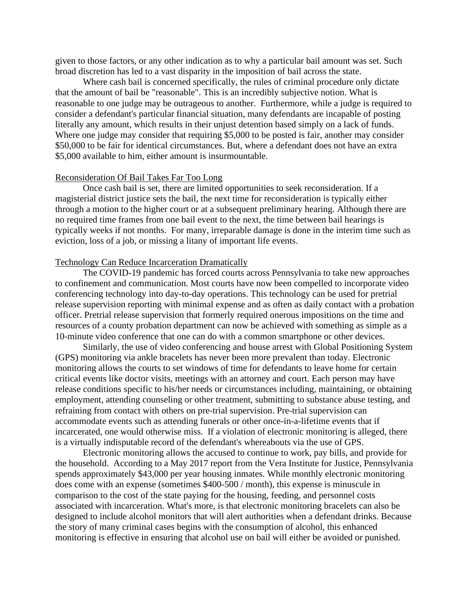given to those factors, or any other indication as to why a particular bail amount was set. Such broad discretion has led to a vast disparity in the imposition of bail across the state.

Where cash bail is concerned specifically, the rules of criminal procedure only dictate that the amount of bail be "reasonable". This is an incredibly subjective notion. What is reasonable to one judge may be outrageous to another. Furthermore, while a judge is required to consider a defendant's particular financial situation, many defendants are incapable of posting literally any amount, which results in their unjust detention based simply on a lack of funds. Where one judge may consider that requiring \$5,000 to be posted is fair, another may consider \$50,000 to be fair for identical circumstances. But, where a defendant does not have an extra \$5,000 available to him, either amount is insurmountable.

### Reconsideration Of Bail Takes Far Too Long

Once cash bail is set, there are limited opportunities to seek reconsideration. If a magisterial district justice sets the bail, the next time for reconsideration is typically either through a motion to the higher court or at a subsequent preliminary hearing. Although there are no required time frames from one bail event to the next, the time between bail hearings is typically weeks if not months. For many, irreparable damage is done in the interim time such as eviction, loss of a job, or missing a litany of important life events.

#### Technology Can Reduce Incarceration Dramatically

The COVID-19 pandemic has forced courts across Pennsylvania to take new approaches to confinement and communication. Most courts have now been compelled to incorporate video conferencing technology into day-to-day operations. This technology can be used for pretrial release supervision reporting with minimal expense and as often as daily contact with a probation officer. Pretrial release supervision that formerly required onerous impositions on the time and resources of a county probation department can now be achieved with something as simple as a 10-minute video conference that one can do with a common smartphone or other devices.

Similarly, the use of video conferencing and house arrest with Global Positioning System (GPS) monitoring via ankle bracelets has never been more prevalent than today. Electronic monitoring allows the courts to set windows of time for defendants to leave home for certain critical events like doctor visits, meetings with an attorney and court. Each person may have release conditions specific to his/her needs or circumstances including, maintaining, or obtaining employment, attending counseling or other treatment, submitting to substance abuse testing, and refraining from contact with others on pre-trial supervision. Pre-trial supervision can accommodate events such as attending funerals or other once-in-a-lifetime events that if incarcerated, one would otherwise miss. If a violation of electronic monitoring is alleged, there is a virtually indisputable record of the defendant's whereabouts via the use of GPS.

Electronic monitoring allows the accused to continue to work, pay bills, and provide for the household. According to a May 2017 report from the Vera Institute for Justice, Pennsylvania spends approximately \$43,000 per year housing inmates. While monthly electronic monitoring does come with an expense (sometimes \$400-500 / month), this expense is minuscule in comparison to the cost of the state paying for the housing, feeding, and personnel costs associated with incarceration. What's more, is that electronic monitoring bracelets can also be designed to include alcohol monitors that will alert authorities when a defendant drinks. Because the story of many criminal cases begins with the consumption of alcohol, this enhanced monitoring is effective in ensuring that alcohol use on bail will either be avoided or punished.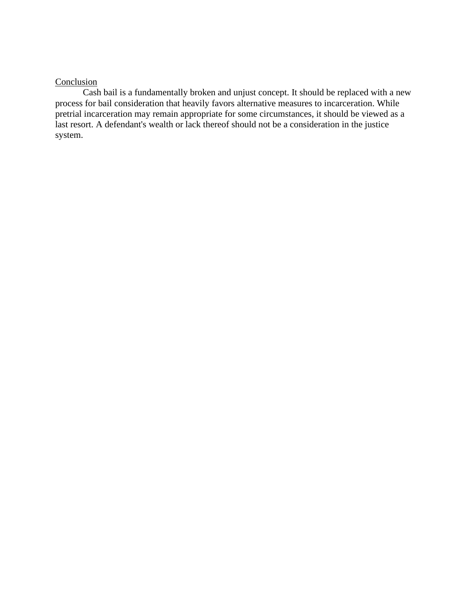### **Conclusion**

Cash bail is a fundamentally broken and unjust concept. It should be replaced with a new process for bail consideration that heavily favors alternative measures to incarceration. While pretrial incarceration may remain appropriate for some circumstances, it should be viewed as a last resort. A defendant's wealth or lack thereof should not be a consideration in the justice system.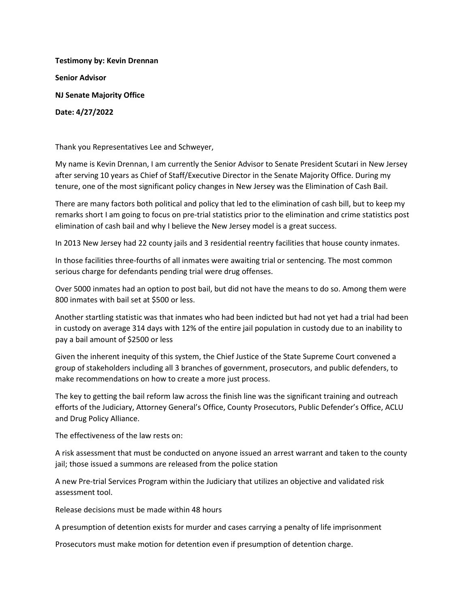**Testimony by: Kevin Drennan Senior Advisor NJ Senate Majority Office Date: 4/27/2022**

Thank you Representatives Lee and Schweyer,

My name is Kevin Drennan, I am currently the Senior Advisor to Senate President Scutari in New Jersey after serving 10 years as Chief of Staff/Executive Director in the Senate Majority Office. During my tenure, one of the most significant policy changes in New Jersey was the Elimination of Cash Bail.

There are many factors both political and policy that led to the elimination of cash bill, but to keep my remarks short I am going to focus on pre-trial statistics prior to the elimination and crime statistics post elimination of cash bail and why I believe the New Jersey model is a great success.

In 2013 New Jersey had 22 county jails and 3 residential reentry facilities that house county inmates.

In those facilities three-fourths of all inmates were awaiting trial or sentencing. The most common serious charge for defendants pending trial were drug offenses.

Over 5000 inmates had an option to post bail, but did not have the means to do so. Among them were 800 inmates with bail set at \$500 or less.

Another startling statistic was that inmates who had been indicted but had not yet had a trial had been in custody on average 314 days with 12% of the entire jail population in custody due to an inability to pay a bail amount of \$2500 or less

Given the inherent inequity of this system, the Chief Justice of the State Supreme Court convened a group of stakeholders including all 3 branches of government, prosecutors, and public defenders, to make recommendations on how to create a more just process.

The key to getting the bail reform law across the finish line was the significant training and outreach efforts of the Judiciary, Attorney General's Office, County Prosecutors, Public Defender's Office, ACLU and Drug Policy Alliance.

The effectiveness of the law rests on:

A risk assessment that must be conducted on anyone issued an arrest warrant and taken to the county jail; those issued a summons are released from the police station

A new Pre-trial Services Program within the Judiciary that utilizes an objective and validated risk assessment tool.

Release decisions must be made within 48 hours

A presumption of detention exists for murder and cases carrying a penalty of life imprisonment

Prosecutors must make motion for detention even if presumption of detention charge.